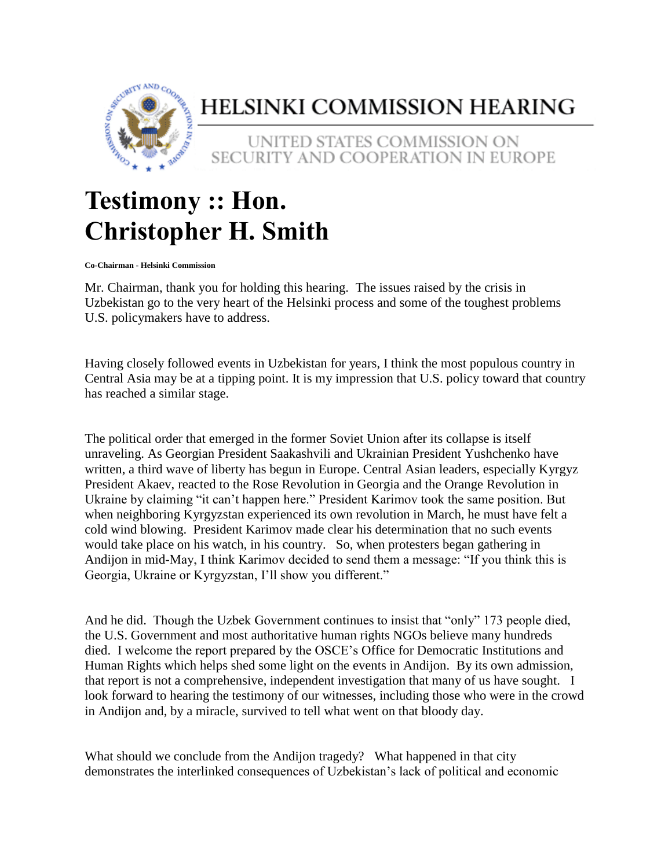

## HELSINKI COMMISSION HEARING

## UNITED STATES COMMISSION ON SECURITY AND COOPERATION IN EUROPE

## **Testimony :: Hon. Christopher H. Smith**

**Co-Chairman - Helsinki Commission**

Mr. Chairman, thank you for holding this hearing. The issues raised by the crisis in Uzbekistan go to the very heart of the Helsinki process and some of the toughest problems U.S. policymakers have to address.

Having closely followed events in Uzbekistan for years, I think the most populous country in Central Asia may be at a tipping point. It is my impression that U.S. policy toward that country has reached a similar stage.

The political order that emerged in the former Soviet Union after its collapse is itself unraveling. As Georgian President Saakashvili and Ukrainian President Yushchenko have written, a third wave of liberty has begun in Europe. Central Asian leaders, especially Kyrgyz President Akaev, reacted to the Rose Revolution in Georgia and the Orange Revolution in Ukraine by claiming "it can't happen here." President Karimov took the same position. But when neighboring Kyrgyzstan experienced its own revolution in March, he must have felt a cold wind blowing. President Karimov made clear his determination that no such events would take place on his watch, in his country. So, when protesters began gathering in Andijon in mid-May, I think Karimov decided to send them a message: "If you think this is Georgia, Ukraine or Kyrgyzstan, I'll show you different."

And he did. Though the Uzbek Government continues to insist that "only" 173 people died, the U.S. Government and most authoritative human rights NGOs believe many hundreds died. I welcome the report prepared by the OSCE's Office for Democratic Institutions and Human Rights which helps shed some light on the events in Andijon. By its own admission, that report is not a comprehensive, independent investigation that many of us have sought. I look forward to hearing the testimony of our witnesses, including those who were in the crowd in Andijon and, by a miracle, survived to tell what went on that bloody day.

What should we conclude from the Andijon tragedy? What happened in that city demonstrates the interlinked consequences of Uzbekistan's lack of political and economic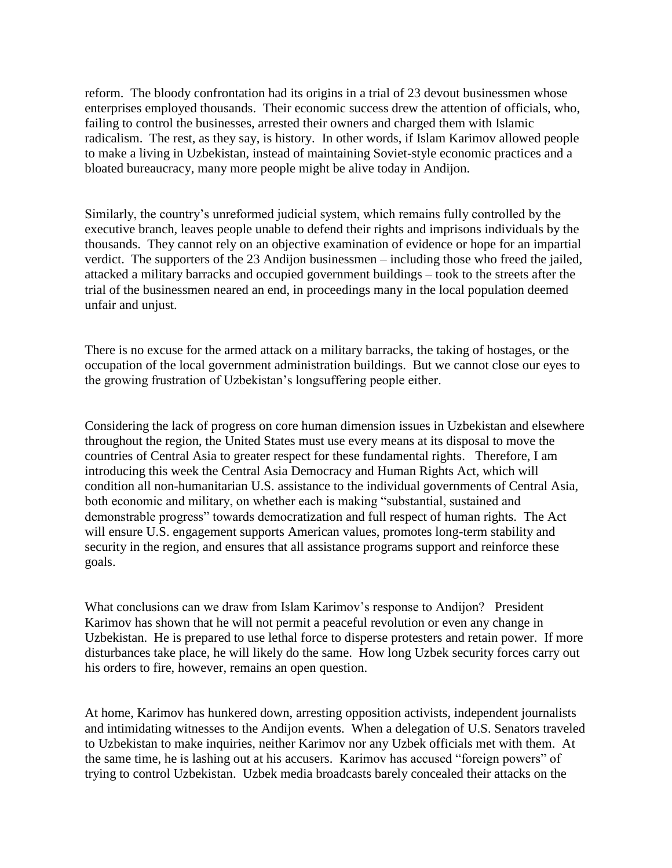reform. The bloody confrontation had its origins in a trial of 23 devout businessmen whose enterprises employed thousands. Their economic success drew the attention of officials, who, failing to control the businesses, arrested their owners and charged them with Islamic radicalism. The rest, as they say, is history. In other words, if Islam Karimov allowed people to make a living in Uzbekistan, instead of maintaining Soviet-style economic practices and a bloated bureaucracy, many more people might be alive today in Andijon.

Similarly, the country's unreformed judicial system, which remains fully controlled by the executive branch, leaves people unable to defend their rights and imprisons individuals by the thousands. They cannot rely on an objective examination of evidence or hope for an impartial verdict. The supporters of the 23 Andijon businessmen – including those who freed the jailed, attacked a military barracks and occupied government buildings – took to the streets after the trial of the businessmen neared an end, in proceedings many in the local population deemed unfair and unjust.

There is no excuse for the armed attack on a military barracks, the taking of hostages, or the occupation of the local government administration buildings. But we cannot close our eyes to the growing frustration of Uzbekistan's longsuffering people either.

Considering the lack of progress on core human dimension issues in Uzbekistan and elsewhere throughout the region, the United States must use every means at its disposal to move the countries of Central Asia to greater respect for these fundamental rights. Therefore, I am introducing this week the Central Asia Democracy and Human Rights Act, which will condition all non-humanitarian U.S. assistance to the individual governments of Central Asia, both economic and military, on whether each is making "substantial, sustained and demonstrable progress" towards democratization and full respect of human rights. The Act will ensure U.S. engagement supports American values, promotes long-term stability and security in the region, and ensures that all assistance programs support and reinforce these goals.

What conclusions can we draw from Islam Karimov's response to Andijon? President Karimov has shown that he will not permit a peaceful revolution or even any change in Uzbekistan. He is prepared to use lethal force to disperse protesters and retain power. If more disturbances take place, he will likely do the same. How long Uzbek security forces carry out his orders to fire, however, remains an open question.

At home, Karimov has hunkered down, arresting opposition activists, independent journalists and intimidating witnesses to the Andijon events. When a delegation of U.S. Senators traveled to Uzbekistan to make inquiries, neither Karimov nor any Uzbek officials met with them. At the same time, he is lashing out at his accusers. Karimov has accused "foreign powers" of trying to control Uzbekistan. Uzbek media broadcasts barely concealed their attacks on the